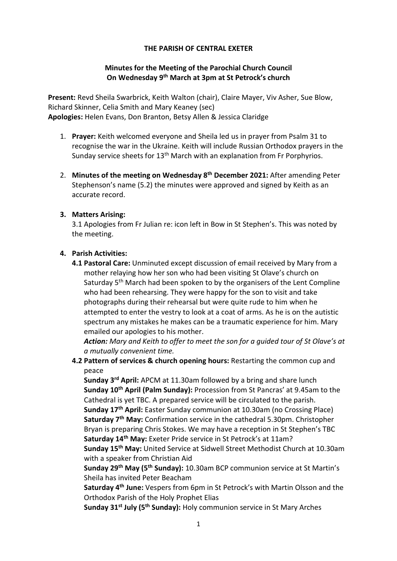### THE PARISH OF CENTRAL EXETER

## Minutes for the Meeting of the Parochial Church Council On Wednesday 9th March at 3pm at St Petrock's church

Present: Revd Sheila Swarbrick, Keith Walton (chair), Claire Mayer, Viv Asher, Sue Blow, Richard Skinner, Celia Smith and Mary Keaney (sec) Apologies: Helen Evans, Don Branton, Betsy Allen & Jessica Claridge

- 1. Prayer: Keith welcomed everyone and Sheila led us in prayer from Psalm 31 to recognise the war in the Ukraine. Keith will include Russian Orthodox prayers in the Sunday service sheets for 13<sup>th</sup> March with an explanation from Fr Porphyrios.
- 2. Minutes of the meeting on Wednesday 8<sup>th</sup> December 2021: After amending Peter Stephenson's name (5.2) the minutes were approved and signed by Keith as an accurate record.

### 3. Matters Arising:

3.1 Apologies from Fr Julian re: icon left in Bow in St Stephen's. This was noted by the meeting.

### 4. Parish Activities:

4.1 Pastoral Care: Unminuted except discussion of email received by Mary from a mother relaying how her son who had been visiting St Olave's church on Saturday 5<sup>th</sup> March had been spoken to by the organisers of the Lent Compline who had been rehearsing. They were happy for the son to visit and take photographs during their rehearsal but were quite rude to him when he attempted to enter the vestry to look at a coat of arms. As he is on the autistic spectrum any mistakes he makes can be a traumatic experience for him. Mary emailed our apologies to his mother.

Action: Mary and Keith to offer to meet the son for a quided tour of St Olave's at a mutually convenient time.

4.2 Pattern of services & church opening hours: Restarting the common cup and peace

Sunday 3<sup>rd</sup> April: APCM at 11.30am followed by a bring and share lunch Sunday 10<sup>th</sup> April (Palm Sunday): Procession from St Pancras' at 9.45am to the Cathedral is yet TBC. A prepared service will be circulated to the parish.

Sunday 17<sup>th</sup> April: Easter Sunday communion at 10.30am (no Crossing Place) Saturday 7<sup>th</sup> May: Confirmation service in the cathedral 5.30pm. Christopher Bryan is preparing Chris Stokes. We may have a reception in St Stephen's TBC Saturday 14<sup>th</sup> May: Exeter Pride service in St Petrock's at 11am?

Sunday 15th May: United Service at Sidwell Street Methodist Church at 10.30am with a speaker from Christian Aid

Sunday 29<sup>th</sup> May (5<sup>th</sup> Sunday): 10.30am BCP communion service at St Martin's Sheila has invited Peter Beacham

Saturday 4<sup>th</sup> June: Vespers from 6pm in St Petrock's with Martin Olsson and the Orthodox Parish of the Holy Prophet Elias

Sunday 31<sup>st</sup> July (5<sup>th</sup> Sunday): Holy communion service in St Mary Arches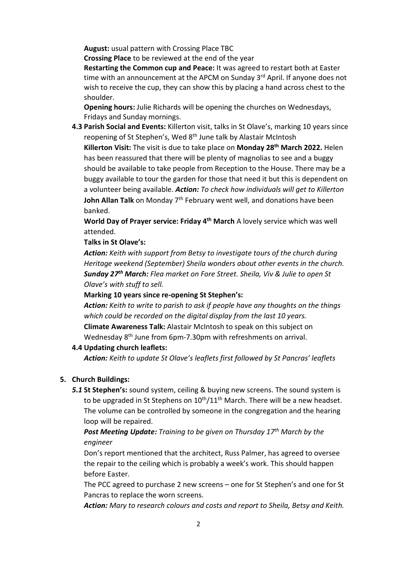August: usual pattern with Crossing Place TBC

Crossing Place to be reviewed at the end of the year

Restarting the Common cup and Peace: It was agreed to restart both at Easter time with an announcement at the APCM on Sunday 3<sup>rd</sup> April. If anyone does not wish to receive the cup, they can show this by placing a hand across chest to the shoulder.

Opening hours: Julie Richards will be opening the churches on Wednesdays, Fridays and Sunday mornings.

4.3 Parish Social and Events: Killerton visit, talks in St Olave's, marking 10 years since reopening of St Stephen's, Wed 8<sup>th</sup> June talk by Alastair McIntosh

Killerton Visit: The visit is due to take place on Monday 28<sup>th</sup> March 2022. Helen has been reassured that there will be plenty of magnolias to see and a buggy should be available to take people from Reception to the House. There may be a buggy available to tour the garden for those that need it but this is dependent on a volunteer being available. Action: To check how individuals will get to Killerton John Allan Talk on Monday 7<sup>th</sup> February went well, and donations have been banked.

World Day of Prayer service: Friday 4<sup>th</sup> March A lovely service which was well attended.

Talks in St Olave's:

Action: Keith with support from Betsy to investigate tours of the church during Heritage weekend (September) Sheila wonders about other events in the church. Sunday 27<sup>th</sup> March: Flea market on Fore Street. Sheila, Viv & Julie to open St Olave's with stuff to sell.

## Marking 10 years since re-opening St Stephen's:

Action: Keith to write to parish to ask if people have any thoughts on the things which could be recorded on the digital display from the last 10 years. Climate Awareness Talk: Alastair McIntosh to speak on this subject on Wednesday 8<sup>th</sup> June from 6pm-7.30pm with refreshments on arrival.

#### 4.4 Updating church leaflets:

Action: Keith to update St Olave's leaflets first followed by St Pancras' leaflets

#### 5. Church Buildings:

5.1 St Stephen's: sound system, ceiling & buying new screens. The sound system is to be upgraded in St Stephens on  $10<sup>th</sup>/11<sup>th</sup>$  March. There will be a new headset. The volume can be controlled by someone in the congregation and the hearing loop will be repaired.

# **Post Meeting Update:** Training to be given on Thursday  $17<sup>th</sup>$  March by the engineer

Don's report mentioned that the architect, Russ Palmer, has agreed to oversee the repair to the ceiling which is probably a week's work. This should happen before Easter.

The PCC agreed to purchase 2 new screens – one for St Stephen's and one for St Pancras to replace the worn screens.

Action: Mary to research colours and costs and report to Sheila, Betsy and Keith.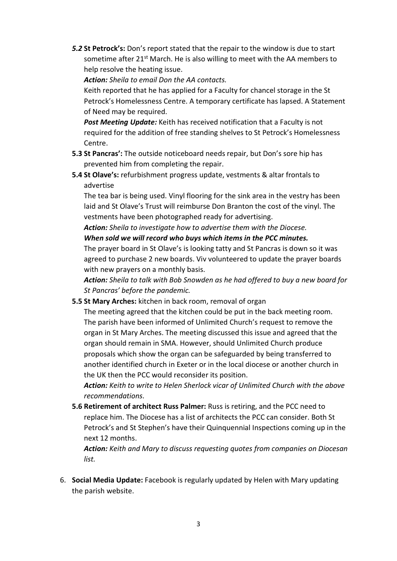5.2 St Petrock's: Don's report stated that the repair to the window is due to start sometime after 21<sup>st</sup> March. He is also willing to meet with the AA members to help resolve the heating issue.

Action: Sheila to email Don the AA contacts.

Keith reported that he has applied for a Faculty for chancel storage in the St Petrock's Homelessness Centre. A temporary certificate has lapsed. A Statement of Need may be required.

Post Meeting Update: Keith has received notification that a Faculty is not required for the addition of free standing shelves to St Petrock's Homelessness Centre.

- 5.3 St Pancras': The outside noticeboard needs repair, but Don's sore hip has prevented him from completing the repair.
- 5.4 St Olave's: refurbishment progress update, vestments & altar frontals to advertise

The tea bar is being used. Vinyl flooring for the sink area in the vestry has been laid and St Olave's Trust will reimburse Don Branton the cost of the vinyl. The vestments have been photographed ready for advertising.

Action: Sheila to investigate how to advertise them with the Diocese. When sold we will record who buys which items in the PCC minutes.

The prayer board in St Olave's is looking tatty and St Pancras is down so it was agreed to purchase 2 new boards. Viv volunteered to update the prayer boards with new prayers on a monthly basis.

Action: Sheila to talk with Bob Snowden as he had offered to buy a new board for St Pancras' before the pandemic.

5.5 St Mary Arches: kitchen in back room, removal of organ

The meeting agreed that the kitchen could be put in the back meeting room. The parish have been informed of Unlimited Church's request to remove the organ in St Mary Arches. The meeting discussed this issue and agreed that the organ should remain in SMA. However, should Unlimited Church produce proposals which show the organ can be safeguarded by being transferred to another identified church in Exeter or in the local diocese or another church in the UK then the PCC would reconsider its position.

Action: Keith to write to Helen Sherlock vicar of Unlimited Church with the above recommendations.

5.6 Retirement of architect Russ Palmer: Russ is retiring, and the PCC need to replace him. The Diocese has a list of architects the PCC can consider. Both St Petrock's and St Stephen's have their Quinquennial Inspections coming up in the next 12 months.

Action: Keith and Mary to discuss requesting quotes from companies on Diocesan list.

6. Social Media Update: Facebook is regularly updated by Helen with Mary updating the parish website.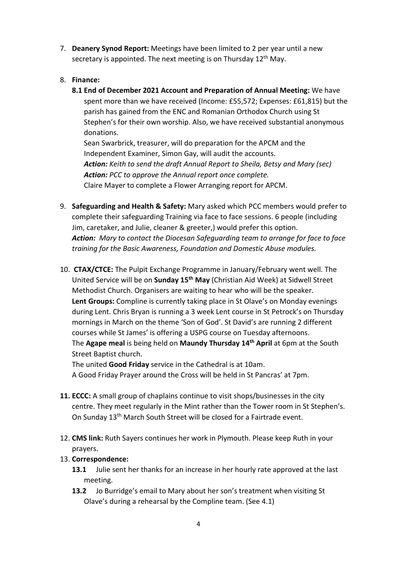7. Deanery Synod Report: Meetings have been limited to 2 per year until a new secretary is appointed. The next meeting is on Thursday 12<sup>th</sup> May.

# 8. Finance:

8.1 End of December 2021 Account and Preparation of Annual Meeting: We have spent more than we have received (Income: £55,572; Expenses: £61,815) but the parish has gained from the ENC and Romanian Orthodox Church using St Stephen's for their own worship. Also, we have received substantial anonymous donations.

Sean Swarbrick, treasurer, will do preparation for the APCM and the Independent Examiner, Simon Gay, will audit the accounts. Action: Keith to send the draft Annual Report to Sheila, Betsy and Mary (sec) Action: PCC to approve the Annual report once complete. Claire Mayer to complete a Flower Arranging report for APCM.

- 9. Safeguarding and Health & Safety: Mary asked which PCC members would prefer to complete their safeguarding Training via face to face sessions. 6 people (including Jim, caretaker, and Julie, cleaner & greeter,) would prefer this option. Action: Mary to contact the Diocesan Safeguarding team to arrange for face to face training for the Basic Awareness, Foundation and Domestic Abuse modules.
- 10. CTAX/CTCE: The Pulpit Exchange Programme in January/February went well. The United Service will be on Sunday 15<sup>th</sup> May (Christian Aid Week) at Sidwell Street Methodist Church. Organisers are waiting to hear who will be the speaker. Lent Groups: Compline is currently taking place in St Olave's on Monday evenings during Lent. Chris Bryan is running a 3 week Lent course in St Petrock's on Thursday mornings in March on the theme 'Son of God'. St David's are running 2 different courses while St James' is offering a USPG course on Tuesday afternoons. The Agape meal is being held on Maundy Thursday 14<sup>th</sup> April at 6pm at the South Street Baptist church.

The united Good Friday service in the Cathedral is at 10am. A Good Friday Prayer around the Cross will be held in St Pancras' at 7pm.

- 11. ECCC: A small group of chaplains continue to visit shops/businesses in the city centre. They meet regularly in the Mint rather than the Tower room in St Stephen's. On Sunday 13<sup>th</sup> March South Street will be closed for a Fairtrade event.
- 12. CMS link: Ruth Sayers continues her work in Plymouth. Please keep Ruth in your prayers.

## 13. Correspondence:

- 13.1 Julie sent her thanks for an increase in her hourly rate approved at the last meeting.
- 13.2 Jo Burridge's email to Mary about her son's treatment when visiting St Olave's during a rehearsal by the Compline team. (See 4.1)